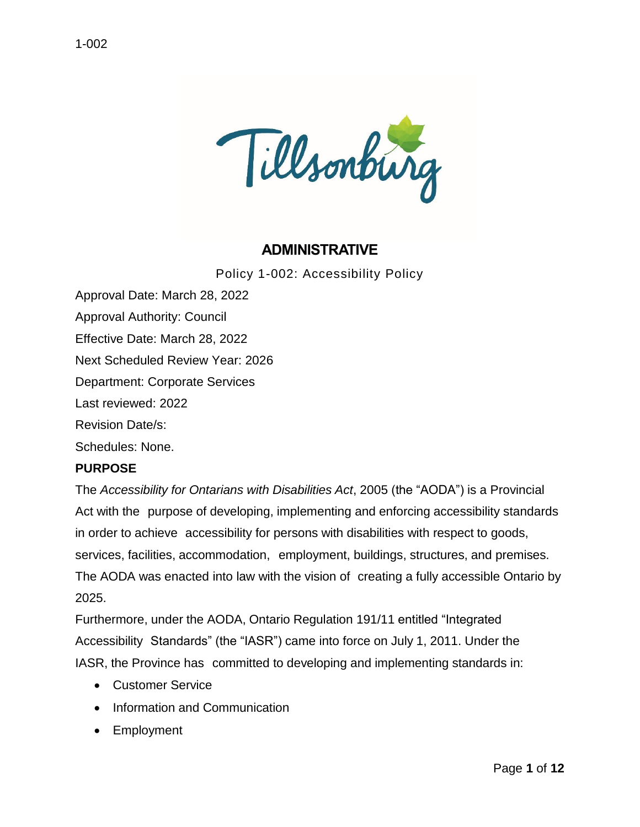

# **ADMINISTRATIVE**

Policy 1-002: Accessibility Policy

Approval Date: March 28, 2022 Approval Authority: Council Effective Date: March 28, 2022 Next Scheduled Review Year: 2026 Department: Corporate Services Last reviewed: 2022 Revision Date/s: Schedules: None.

#### **PURPOSE**

The *Accessibility for Ontarians with Disabilities Act*, 2005 (the "AODA") is a Provincial Act with the purpose of developing, implementing and enforcing accessibility standards in order to achieve accessibility for persons with disabilities with respect to goods, services, facilities, accommodation, employment, buildings, structures, and premises. The AODA was enacted into law with the vision of creating a fully accessible Ontario by 2025.

Furthermore, under the AODA, Ontario Regulation 191/11 entitled "Integrated Accessibility Standards" (the "IASR") came into force on July 1, 2011. Under the IASR, the Province has committed to developing and implementing standards in:

- Customer Service
- Information and Communication
- Employment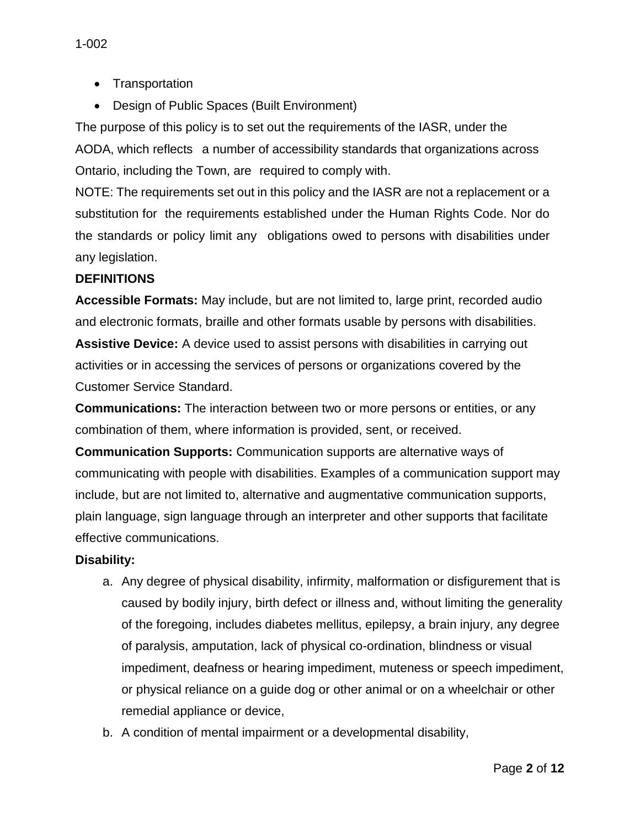- Transportation
- Design of Public Spaces (Built Environment)

The purpose of this policy is to set out the requirements of the IASR, under the AODA, which reflects a number of accessibility standards that organizations across Ontario, including the Town, are required to comply with.

NOTE: The requirements set out in this policy and the IASR are not a replacement or a substitution for the requirements established under the Human Rights Code. Nor do the standards or policy limit any obligations owed to persons with disabilities under any legislation.

## **DEFINITIONS**

**Accessible Formats:** May include, but are not limited to, large print, recorded audio and electronic formats, braille and other formats usable by persons with disabilities. **Assistive Device:** A device used to assist persons with disabilities in carrying out activities or in accessing the services of persons or organizations covered by the Customer Service Standard.

**Communications:** The interaction between two or more persons or entities, or any combination of them, where information is provided, sent, or received.

**Communication Supports:** Communication supports are alternative ways of communicating with people with disabilities. Examples of a communication support may include, but are not limited to, alternative and augmentative communication supports, plain language, sign language through an interpreter and other supports that facilitate effective communications.

## **Disability:**

- a. Any degree of physical disability, infirmity, malformation or disfigurement that is caused by bodily injury, birth defect or illness and, without limiting the generality of the foregoing, includes diabetes mellitus, epilepsy, a brain injury, any degree of paralysis, amputation, lack of physical co-ordination, blindness or visual impediment, deafness or hearing impediment, muteness or speech impediment, or physical reliance on a guide dog or other animal or on a wheelchair or other remedial appliance or device,
- b. A condition of mental impairment or a developmental disability,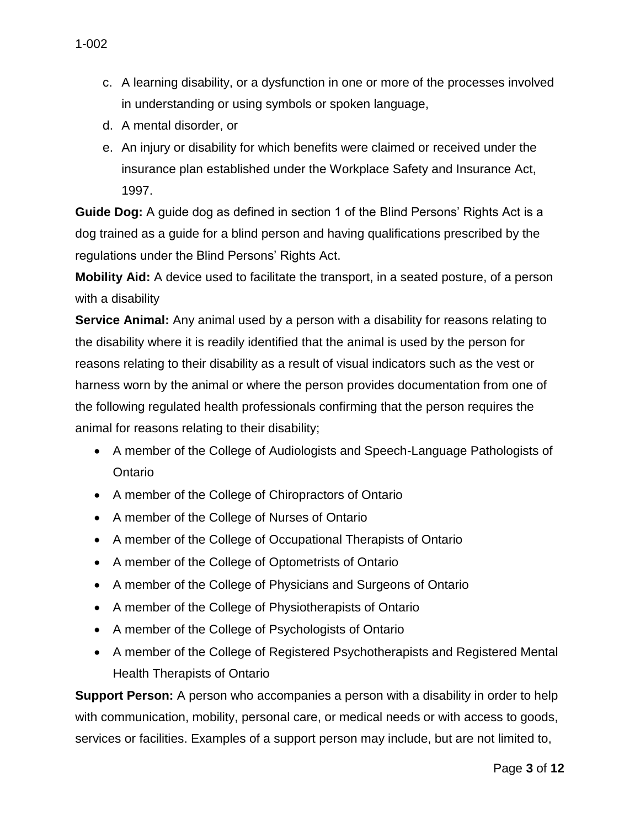- c. A learning disability, or a dysfunction in one or more of the processes involved in understanding or using symbols or spoken language,
- d. A mental disorder, or
- e. An injury or disability for which benefits were claimed or received under the insurance plan established under the Workplace Safety and Insurance Act, 1997.

**Guide Dog:** A guide dog as defined in section 1 of the Blind Persons' Rights Act is a dog trained as a guide for a blind person and having qualifications prescribed by the regulations under the Blind Persons' Rights Act.

**Mobility Aid:** A device used to facilitate the transport, in a seated posture, of a person with a disability

**Service Animal:** Any animal used by a person with a disability for reasons relating to the disability where it is readily identified that the animal is used by the person for reasons relating to their disability as a result of visual indicators such as the vest or harness worn by the animal or where the person provides documentation from one of the following regulated health professionals confirming that the person requires the animal for reasons relating to their disability;

- A member of the College of Audiologists and Speech-Language Pathologists of Ontario
- A member of the College of Chiropractors of Ontario
- A member of the College of Nurses of Ontario
- A member of the College of Occupational Therapists of Ontario
- A member of the College of Optometrists of Ontario
- A member of the College of Physicians and Surgeons of Ontario
- A member of the College of Physiotherapists of Ontario
- A member of the College of Psychologists of Ontario
- A member of the College of Registered Psychotherapists and Registered Mental Health Therapists of Ontario

**Support Person:** A person who accompanies a person with a disability in order to help with communication, mobility, personal care, or medical needs or with access to goods, services or facilities. Examples of a support person may include, but are not limited to,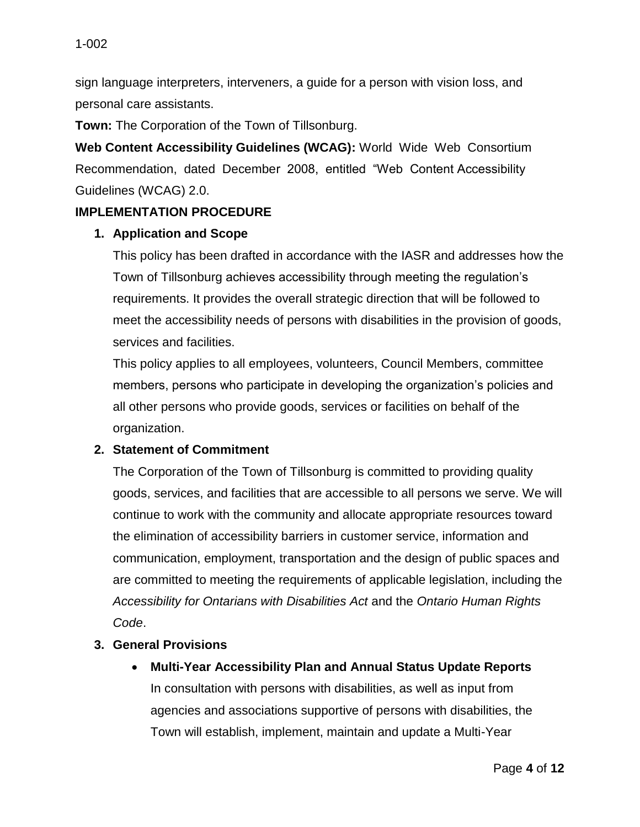sign language interpreters, interveners, a guide for a person with vision loss, and personal care assistants.

**Town:** The Corporation of the Town of Tillsonburg.

**Web Content Accessibility Guidelines (WCAG):** World Wide Web Consortium Recommendation, dated December 2008, entitled "Web Content Accessibility Guidelines (WCAG) 2.0.

#### **IMPLEMENTATION PROCEDURE**

#### **1. Application and Scope**

This policy has been drafted in accordance with the IASR and addresses how the Town of Tillsonburg achieves accessibility through meeting the regulation's requirements. It provides the overall strategic direction that will be followed to meet the accessibility needs of persons with disabilities in the provision of goods, services and facilities.

This policy applies to all employees, volunteers, Council Members, committee members, persons who participate in developing the organization's policies and all other persons who provide goods, services or facilities on behalf of the organization.

#### **2. Statement of Commitment**

The Corporation of the Town of Tillsonburg is committed to providing quality goods, services, and facilities that are accessible to all persons we serve. We will continue to work with the community and allocate appropriate resources toward the elimination of accessibility barriers in customer service, information and communication, employment, transportation and the design of public spaces and are committed to meeting the requirements of applicable legislation, including the *Accessibility for Ontarians with Disabilities Act* and the *Ontario Human Rights Code*.

#### **3. General Provisions**

**Multi-Year Accessibility Plan and Annual Status Update Reports**

In consultation with persons with disabilities, as well as input from agencies and associations supportive of persons with disabilities, the Town will establish, implement, maintain and update a Multi-Year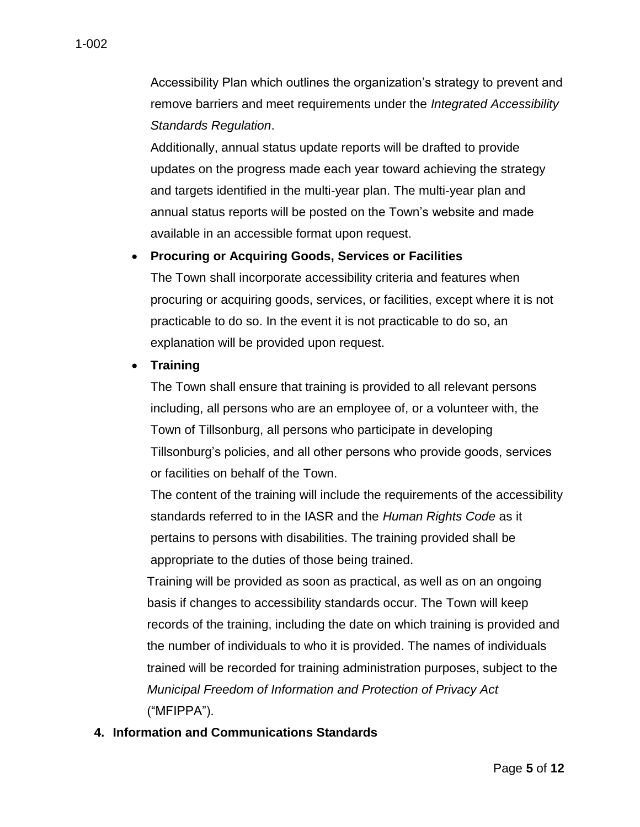Accessibility Plan which outlines the organization's strategy to prevent and remove barriers and meet requirements under the *Integrated Accessibility Standards Regulation*.

Additionally, annual status update reports will be drafted to provide updates on the progress made each year toward achieving the strategy and targets identified in the multi-year plan. The multi-year plan and annual status reports will be posted on the Town's website and made available in an accessible format upon request.

#### **Procuring or Acquiring Goods, Services or Facilities**

The Town shall incorporate accessibility criteria and features when procuring or acquiring goods, services, or facilities, except where it is not practicable to do so. In the event it is not practicable to do so, an explanation will be provided upon request.

#### **Training**

The Town shall ensure that training is provided to all relevant persons including, all persons who are an employee of, or a volunteer with, the Town of Tillsonburg, all persons who participate in developing Tillsonburg's policies, and all other persons who provide goods, services or facilities on behalf of the Town.

The content of the training will include the requirements of the accessibility standards referred to in the IASR and the *Human Rights Code* as it pertains to persons with disabilities. The training provided shall be appropriate to the duties of those being trained.

Training will be provided as soon as practical, as well as on an ongoing basis if changes to accessibility standards occur. The Town will keep records of the training, including the date on which training is provided and the number of individuals to who it is provided. The names of individuals trained will be recorded for training administration purposes, subject to the *Municipal Freedom of Information and Protection of Privacy Act*  ("MFIPPA").

## **4. Information and Communications Standards**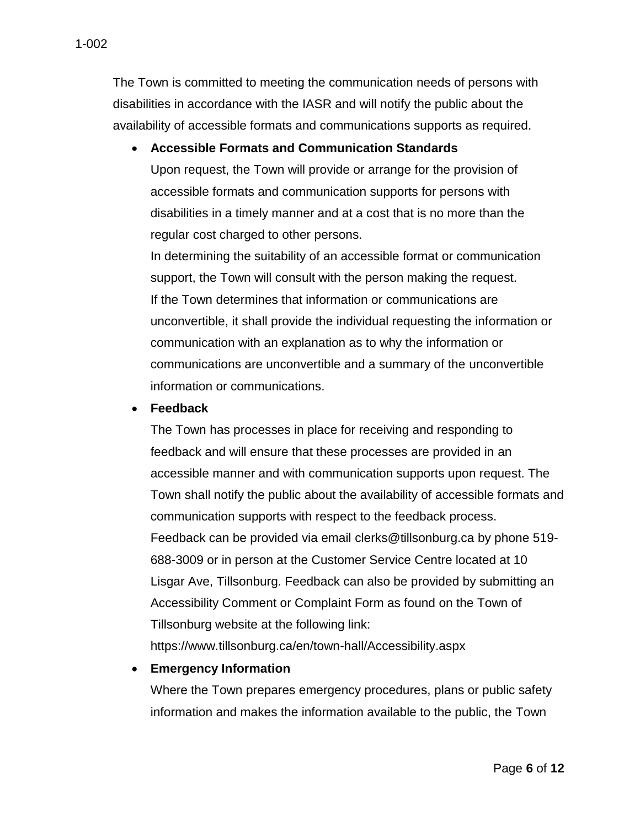The Town is committed to meeting the communication needs of persons with disabilities in accordance with the IASR and will notify the public about the availability of accessible formats and communications supports as required.

#### **Accessible Formats and Communication Standards**

Upon request, the Town will provide or arrange for the provision of accessible formats and communication supports for persons with disabilities in a timely manner and at a cost that is no more than the regular cost charged to other persons.

In determining the suitability of an accessible format or communication support, the Town will consult with the person making the request. If the Town determines that information or communications are unconvertible, it shall provide the individual requesting the information or communication with an explanation as to why the information or communications are unconvertible and a summary of the unconvertible information or communications.

#### **Feedback**

The Town has processes in place for receiving and responding to feedback and will ensure that these processes are provided in an accessible manner and with communication supports upon request. The Town shall notify the public about the availability of accessible formats and communication supports with respect to the feedback process. Feedback can be provided via email clerks@tillsonburg.ca by phone 519- 688-3009 or in person at the Customer Service Centre located at 10 Lisgar Ave, Tillsonburg. Feedback can also be provided by submitting an Accessibility Comment or Complaint Form as found on the Town of Tillsonburg website at the following link:

https://www.tillsonburg.ca/en/town-hall/Accessibility.aspx

#### **Emergency Information**

Where the Town prepares emergency procedures, plans or public safety information and makes the information available to the public, the Town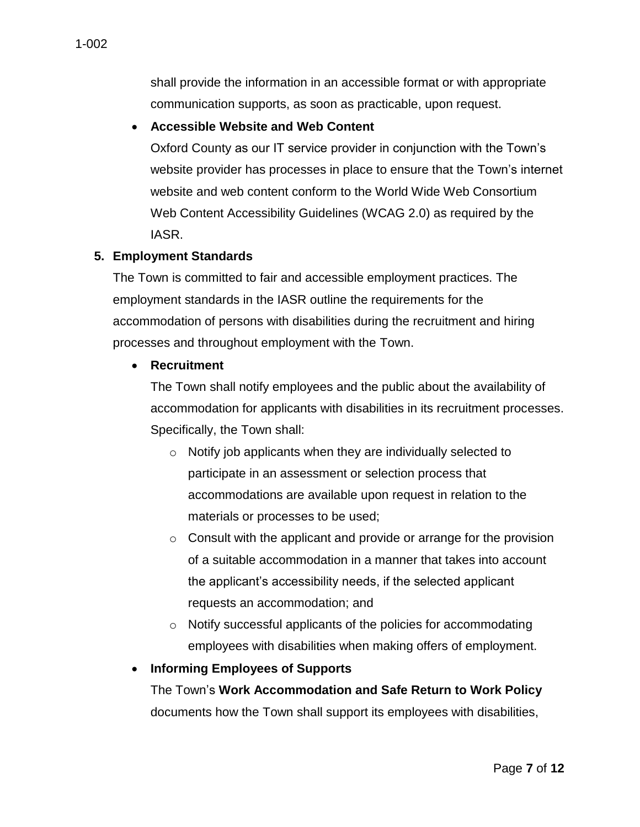shall provide the information in an accessible format or with appropriate communication supports, as soon as practicable, upon request.

#### **Accessible Website and Web Content**

Oxford County as our IT service provider in conjunction with the Town's website provider has processes in place to ensure that the Town's internet website and web content conform to the World Wide Web Consortium Web Content Accessibility Guidelines (WCAG 2.0) as required by the IASR.

#### **5. Employment Standards**

The Town is committed to fair and accessible employment practices. The employment standards in the IASR outline the requirements for the accommodation of persons with disabilities during the recruitment and hiring processes and throughout employment with the Town.

#### **Recruitment**

The Town shall notify employees and the public about the availability of accommodation for applicants with disabilities in its recruitment processes. Specifically, the Town shall:

- o Notify job applicants when they are individually selected to participate in an assessment or selection process that accommodations are available upon request in relation to the materials or processes to be used;
- o Consult with the applicant and provide or arrange for the provision of a suitable accommodation in a manner that takes into account the applicant's accessibility needs, if the selected applicant requests an accommodation; and
- o Notify successful applicants of the policies for accommodating employees with disabilities when making offers of employment.

## **Informing Employees of Supports**

The Town's **Work Accommodation and Safe Return to Work Policy**  documents how the Town shall support its employees with disabilities,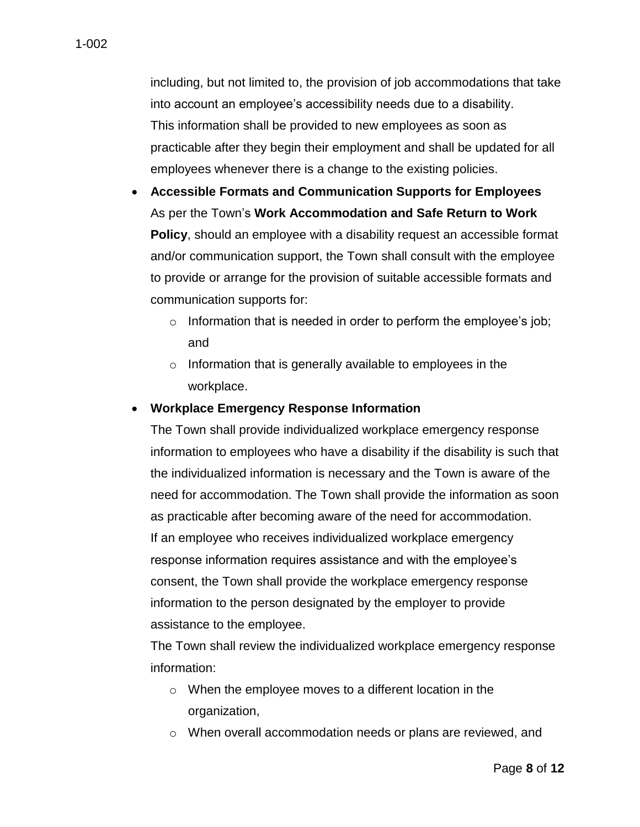including, but not limited to, the provision of job accommodations that take into account an employee's accessibility needs due to a disability. This information shall be provided to new employees as soon as practicable after they begin their employment and shall be updated for all employees whenever there is a change to the existing policies.

- **Accessible Formats and Communication Supports for Employees** As per the Town's **Work Accommodation and Safe Return to Work Policy**, should an employee with a disability request an accessible format and/or communication support, the Town shall consult with the employee to provide or arrange for the provision of suitable accessible formats and communication supports for:
	- o Information that is needed in order to perform the employee's job; and
	- o Information that is generally available to employees in the workplace.

#### **Workplace Emergency Response Information**

The Town shall provide individualized workplace emergency response information to employees who have a disability if the disability is such that the individualized information is necessary and the Town is aware of the need for accommodation. The Town shall provide the information as soon as practicable after becoming aware of the need for accommodation. If an employee who receives individualized workplace emergency response information requires assistance and with the employee's consent, the Town shall provide the workplace emergency response information to the person designated by the employer to provide assistance to the employee.

The Town shall review the individualized workplace emergency response information:

- o When the employee moves to a different location in the organization,
- $\circ$  When overall accommodation needs or plans are reviewed, and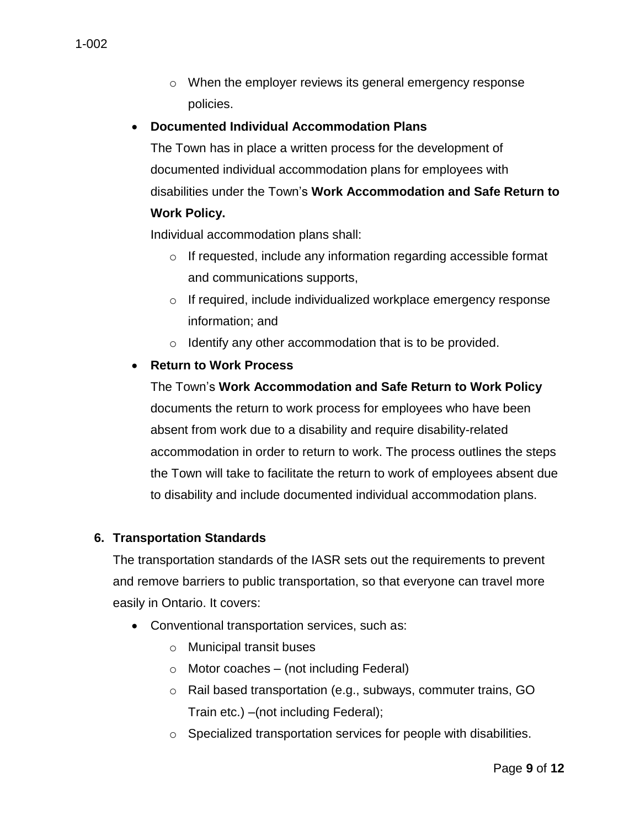o When the employer reviews its general emergency response policies.

#### **Documented Individual Accommodation Plans**

The Town has in place a written process for the development of documented individual accommodation plans for employees with disabilities under the Town's **Work Accommodation and Safe Return to** 

#### **Work Policy.**

Individual accommodation plans shall:

- o If requested, include any information regarding accessible format and communications supports,
- o If required, include individualized workplace emergency response information; and
- o Identify any other accommodation that is to be provided.

## **Return to Work Process**

#### The Town's **Work Accommodation and Safe Return to Work Policy**

documents the return to work process for employees who have been absent from work due to a disability and require disability-related accommodation in order to return to work. The process outlines the steps the Town will take to facilitate the return to work of employees absent due to disability and include documented individual accommodation plans.

#### **6. Transportation Standards**

The transportation standards of the IASR sets out the requirements to prevent and remove barriers to public transportation, so that everyone can travel more easily in Ontario. It covers:

- Conventional transportation services, such as:
	- o Municipal transit buses
	- $\circ$  Motor coaches (not including Federal)
	- o Rail based transportation (e.g., subways, commuter trains, GO Train etc.) –(not including Federal);
	- o Specialized transportation services for people with disabilities.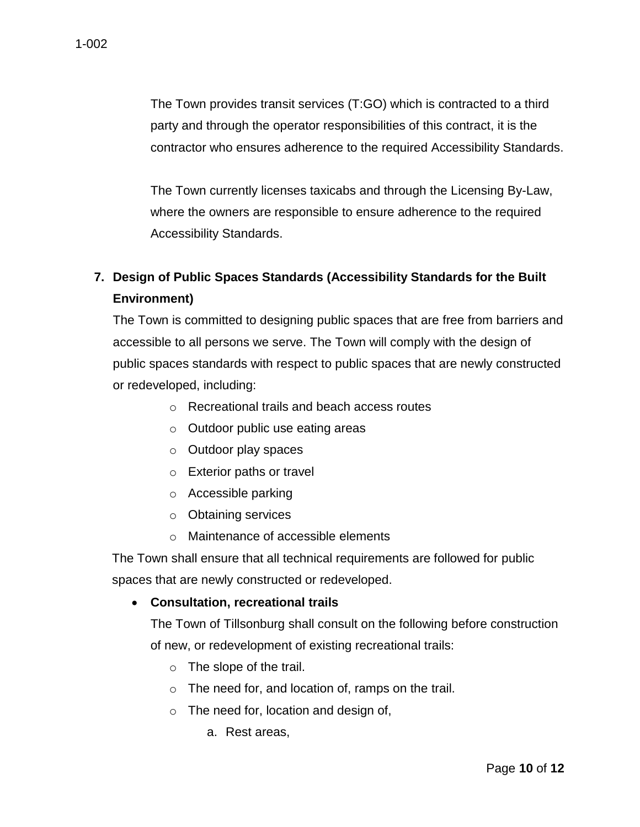The Town provides transit services (T:GO) which is contracted to a third party and through the operator responsibilities of this contract, it is the contractor who ensures adherence to the required Accessibility Standards.

The Town currently licenses taxicabs and through the Licensing By-Law, where the owners are responsible to ensure adherence to the required Accessibility Standards.

# **7. Design of Public Spaces Standards (Accessibility Standards for the Built Environment)**

The Town is committed to designing public spaces that are free from barriers and accessible to all persons we serve. The Town will comply with the design of public spaces standards with respect to public spaces that are newly constructed or redeveloped, including:

- o Recreational trails and beach access routes
- o Outdoor public use eating areas
- o Outdoor play spaces
- o Exterior paths or travel
- o Accessible parking
- o Obtaining services
- o Maintenance of accessible elements

The Town shall ensure that all technical requirements are followed for public spaces that are newly constructed or redeveloped.

**Consultation, recreational trails**

The Town of Tillsonburg shall consult on the following before construction of new, or redevelopment of existing recreational trails:

- o The slope of the trail.
- o The need for, and location of, ramps on the trail.
- o The need for, location and design of,
	- a. Rest areas,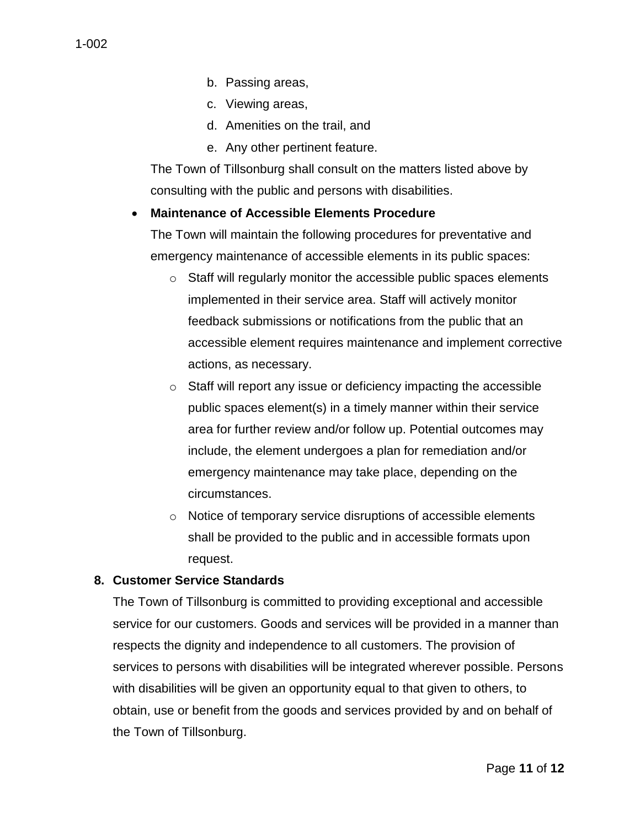- c. Viewing areas,
- d. Amenities on the trail, and
- e. Any other pertinent feature.

The Town of Tillsonburg shall consult on the matters listed above by consulting with the public and persons with disabilities.

# **Maintenance of Accessible Elements Procedure**

The Town will maintain the following procedures for preventative and emergency maintenance of accessible elements in its public spaces:

- o Staff will regularly monitor the accessible public spaces elements implemented in their service area. Staff will actively monitor feedback submissions or notifications from the public that an accessible element requires maintenance and implement corrective actions, as necessary.
- o Staff will report any issue or deficiency impacting the accessible public spaces element(s) in a timely manner within their service area for further review and/or follow up. Potential outcomes may include, the element undergoes a plan for remediation and/or emergency maintenance may take place, depending on the circumstances.
- o Notice of temporary service disruptions of accessible elements shall be provided to the public and in accessible formats upon request.

# **8. Customer Service Standards**

The Town of Tillsonburg is committed to providing exceptional and accessible service for our customers. Goods and services will be provided in a manner than respects the dignity and independence to all customers. The provision of services to persons with disabilities will be integrated wherever possible. Persons with disabilities will be given an opportunity equal to that given to others, to obtain, use or benefit from the goods and services provided by and on behalf of the Town of Tillsonburg.